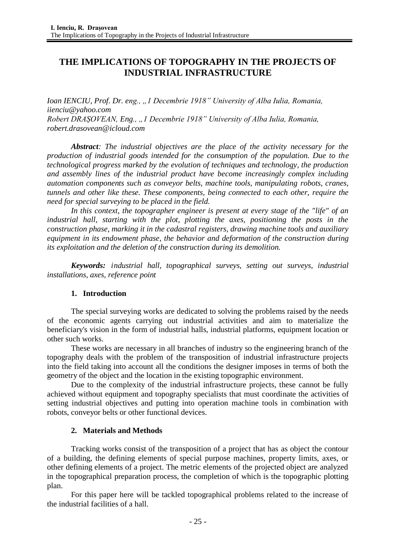# **THE IMPLICATIONS OF TOPOGRAPHY IN THE PROJECTS OF INDUSTRIAL INFRASTRUCTURE**

*Ioan IENCIU, Prof. Dr. eng., "1 Decembrie 1918" University of Alba Iulia, Romania, iienciu@yahoo.com Robert DRAȘOVEAN, Eng., "1 Decembrie 1918" University of Alba Iulia, Romania, [robert.drasovean@icloud.com](mailto:robert.drasovean@icloud.com)*

*Abstract: The industrial objectives are the place of the activity necessary for the production of industrial goods intended for the consumption of the population. Due to the technological progress marked by the evolution of techniques and technology, the production and assembly lines of the industrial product have become increasingly complex including automation components such as conveyor belts, machine tools, manipulating robots, cranes, tunnels and other like these. These components, being connected to each other, require the need for special surveying to be placed in the field.*

*In this context, the topographer engineer is present at every stage of the "life" of an industrial hall, starting with the plot, plotting the axes, positioning the posts in the construction phase, marking it in the cadastral registers, drawing machine tools and auxiliary equipment in its endowment phase, the behavior and deformation of the construction during its exploitation and the deletion of the construction during its demolition.*

*Keywords: industrial hall, topographical surveys, setting out surveys, industrial installations, axes, reference point*

# **1. Introduction**

The special surveying works are dedicated to solving the problems raised by the needs of the economic agents carrying out industrial activities and aim to materialize the beneficiary's vision in the form of industrial halls, industrial platforms, equipment location or other such works.

These works are necessary in all branches of industry so the engineering branch of the topography deals with the problem of the transposition of industrial infrastructure projects into the field taking into account all the conditions the designer imposes in terms of both the geometry of the object and the location in the existing topographic environment.

Due to the complexity of the industrial infrastructure projects, these cannot be fully achieved without equipment and topography specialists that must coordinate the activities of setting industrial objectives and putting into operation machine tools in combination with robots, conveyor belts or other functional devices.

# **2. Materials and Methods**

Tracking works consist of the transposition of a project that has as object the contour of a building, the defining elements of special purpose machines, property limits, axes, or other defining elements of a project. The metric elements of the projected object are analyzed in the topographical preparation process, the completion of which is the topographic plotting plan.

For this paper here will be tackled topographical problems related to the increase of the industrial facilities of a hall.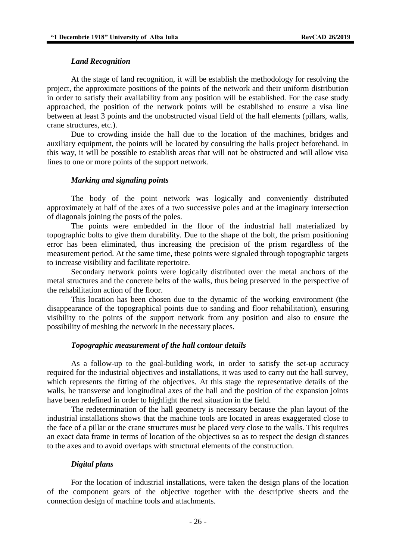#### *Land Recognition*

At the stage of land recognition, it will be establish the methodology for resolving the project, the approximate positions of the points of the network and their uniform distribution in order to satisfy their availability from any position will be established. For the case study approached, the position of the network points will be established to ensure a visa line between at least 3 points and the unobstructed visual field of the hall elements (pillars, walls, crane structures, etc.).

Due to crowding inside the hall due to the location of the machines, bridges and auxiliary equipment, the points will be located by consulting the halls project beforehand. In this way, it will be possible to establish areas that will not be obstructed and will allow visa lines to one or more points of the support network.

#### *Marking and signaling points*

The body of the point network was logically and conveniently distributed approximately at half of the axes of a two successive poles and at the imaginary intersection of diagonals joining the posts of the poles.

The points were embedded in the floor of the industrial hall materialized by topographic bolts to give them durability. Due to the shape of the bolt, the prism positioning error has been eliminated, thus increasing the precision of the prism regardless of the measurement period. At the same time, these points were signaled through topographic targets to increase visibility and facilitate repertoire.

Secondary network points were logically distributed over the metal anchors of the metal structures and the concrete belts of the walls, thus being preserved in the perspective of the rehabilitation action of the floor.

This location has been chosen due to the dynamic of the working environment (the disappearance of the topographical points due to sanding and floor rehabilitation), ensuring visibility to the points of the support network from any position and also to ensure the possibility of meshing the network in the necessary places.

#### *Topographic measurement of the hall contour details*

As a follow-up to the goal-building work, in order to satisfy the set-up accuracy required for the industrial objectives and installations, it was used to carry out the hall survey, which represents the fitting of the objectives. At this stage the representative details of the walls, he transverse and longitudinal axes of the hall and the position of the expansion joints have been redefined in order to highlight the real situation in the field.

The redetermination of the hall geometry is necessary because the plan layout of the industrial installations shows that the machine tools are located in areas exaggerated close to the face of a pillar or the crane structures must be placed very close to the walls. This requires an exact data frame in terms of location of the objectives so as to respect the design distances to the axes and to avoid overlaps with structural elements of the construction.

#### *Digital plans*

For the location of industrial installations, were taken the design plans of the location of the component gears of the objective together with the descriptive sheets and the connection design of machine tools and attachments.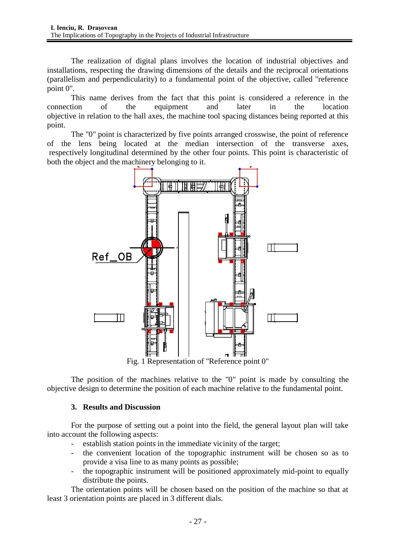The realization of digital plans involves the location of industrial objectives and installations, respecting the drawing dimensions of the details and the reciprocal orientations (parallelism and perpendicularity) to a fundamental point of the objective, called "reference point 0".

This name derives from the fact that this point is considered a reference in the connection of the equipment and later in the location objective in relation to the hall axes, the machine tool spacing distances being reported at this point.

The "0" point is characterized by five points arranged crosswise, the point of reference of the lens being located at the median intersection of the transverse axes, respectively longitudinal determined by the other four points. This point is characteristic of both the object and the machinery belonging to it.



Fig. 1 Representation of "Reference point 0"

The position of the machines relative to the "0" point is made by consulting the objective design to determine the position of each machine relative to the fundamental point.

# **3. Results and Discussion**

For the purpose of setting out a point into the field, the general layout plan will take into account the following aspects:

- establish station points in the immediate vicinity of the target;
- the convenient location of the topographic instrument will be chosen so as to provide a visa line to as many points as possible;
- the topographic instrument will be positioned approximately mid-point to equally distribute the points.

The orientation points will be chosen based on the position of the machine so that at least 3 orientation points are placed in 3 different dials.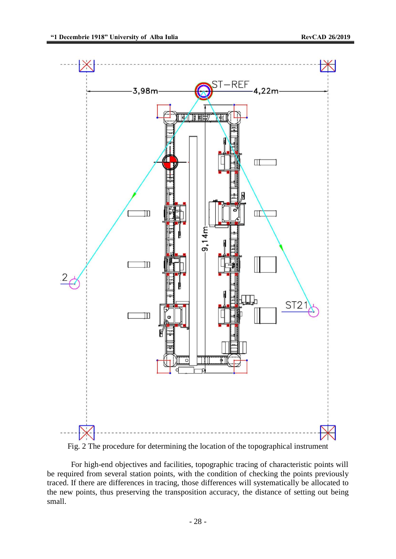

Fig. 2 The procedure for determining the location of the topographical instrument

For high-end objectives and facilities, topographic tracing of characteristic points will be required from several station points, with the condition of checking the points previously traced. If there are differences in tracing, those differences will systematically be allocated to the new points, thus preserving the transposition accuracy, the distance of setting out being small.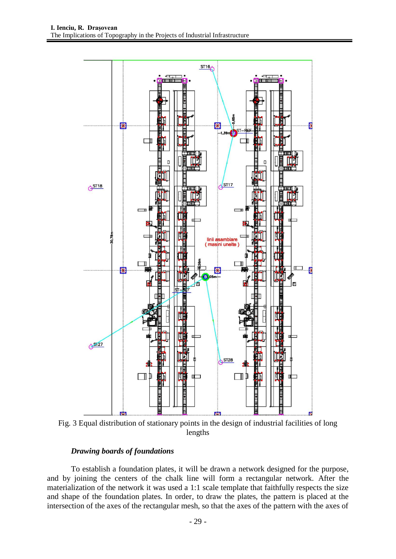

Fig. 3 Equal distribution of stationary points in the design of industrial facilities of long lengths

### *Drawing boards of foundations*

To establish a foundation plates, it will be drawn a network designed for the purpose, and by joining the centers of the chalk line will form a rectangular network. After the materialization of the network it was used a 1:1 scale template that faithfully respects the size and shape of the foundation plates. In order, to draw the plates, the pattern is placed at the intersection of the axes of the rectangular mesh, so that the axes of the pattern with the axes of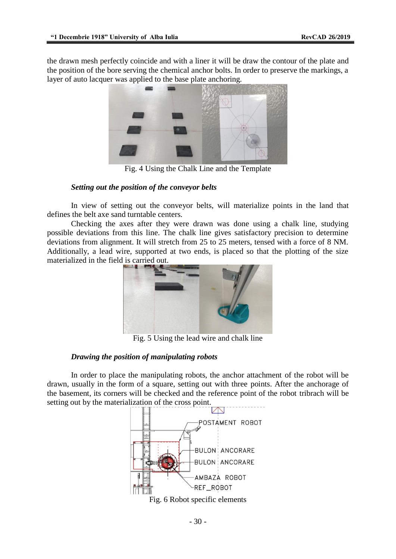the drawn mesh perfectly coincide and with a liner it will be draw the contour of the plate and the position of the bore serving the chemical anchor bolts. In order to preserve the markings, a layer of auto lacquer was applied to the base plate anchoring.



Fig. 4 Using the Chalk Line and the Template

### *Setting out the position of the conveyor belts*

In view of setting out the conveyor belts, will materialize points in the land that defines the belt axe sand turntable centers.

Checking the axes after they were drawn was done using a chalk line, studying possible deviations from this line. The chalk line gives satisfactory precision to determine deviations from alignment. It will stretch from 25 to 25 meters, tensed with a force of 8 NM. Additionally, a lead wire, supported at two ends, is placed so that the plotting of the size materialized in the field is carried out.



Fig. 5 Using the lead wire and chalk line

# *Drawing the position of manipulating robots*

In order to place the manipulating robots, the anchor attachment of the robot will be drawn, usually in the form of a square, setting out with three points. After the anchorage of the basement, its corners will be checked and the reference point of the robot tribrach will be setting out by the materialization of the cross point.

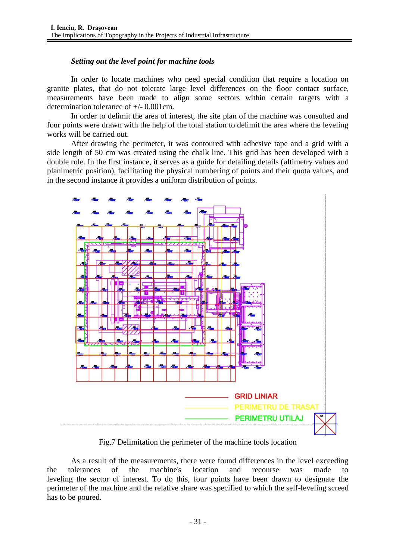### *Setting out the level point for machine tools*

In order to locate machines who need special condition that require a location on granite plates, that do not tolerate large level differences on the floor contact surface, measurements have been made to align some sectors within certain targets with a determination tolerance of +/- 0.001cm.

In order to delimit the area of interest, the site plan of the machine was consulted and four points were drawn with the help of the total station to delimit the area where the leveling works will be carried out.

After drawing the perimeter, it was contoured with adhesive tape and a grid with a side length of 50 cm was created using the chalk line. This grid has been developed with a double role. In the first instance, it serves as a guide for detailing details (altimetry values and planimetric position), facilitating the physical numbering of points and their quota values, and in the second instance it provides a uniform distribution of points.



Fig.7 Delimitation the perimeter of the machine tools location

As a result of the measurements, there were found differences in the level exceeding the tolerances of the machine's location and recourse was made to leveling the sector of interest. To do this, four points have been drawn to designate the perimeter of the machine and the relative share was specified to which the self-leveling screed has to be poured.